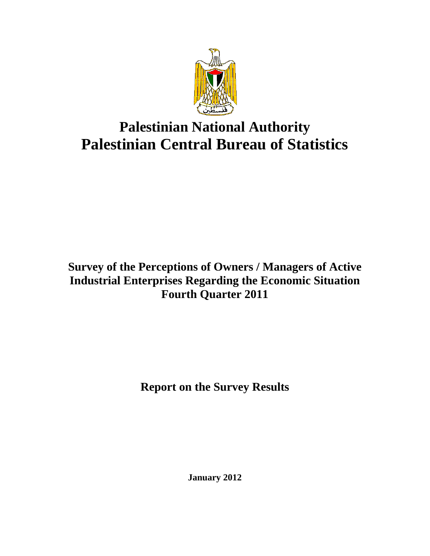

# **Palestinian National Authority Palestinian Central Bureau of Statistics**

## **Survey of the Perceptions of Owners / Managers of Active Industrial Enterprises Regarding the Economic Situation Fourth Quarter 2011**

**Report on the Survey Results** 

**January 2012**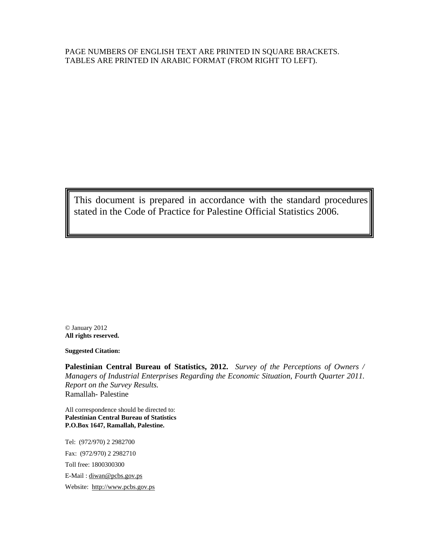#### PAGE NUMBERS OF ENGLISH TEXT ARE PRINTED IN SQUARE BRACKETS. TABLES ARE PRINTED IN ARABIC FORMAT (FROM RIGHT TO LEFT).

This document is prepared in accordance with the standard procedures stated in the Code of Practice for Palestine Official Statistics 2006.

© January 2012 **All rights reserved.** 

**Suggested Citation:** 

**Palestinian Central Bureau of Statistics, 2012.** *Survey of the Perceptions of Owners / Managers of Industrial Enterprises Regarding the Economic Situation, Fourth Quarter 2011. Report on the Survey Results.*  Ramallah- Palestine

All correspondence should be directed to: **Palestinian Central Bureau of Statistics P.O.Box 1647, Ramallah, Palestine.**

Tel: (972/970) 2 2982700 Fax: (972/970) 2 2982710 Toll free: 1800300300 E-Mail : diwan@pcbs.gov.ps Website: http://www.pcbs.gov.ps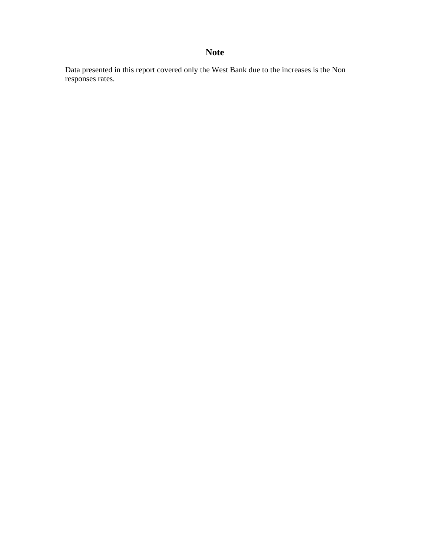## **Note**

Data presented in this report covered only the West Bank due to the increases is the Non responses rates.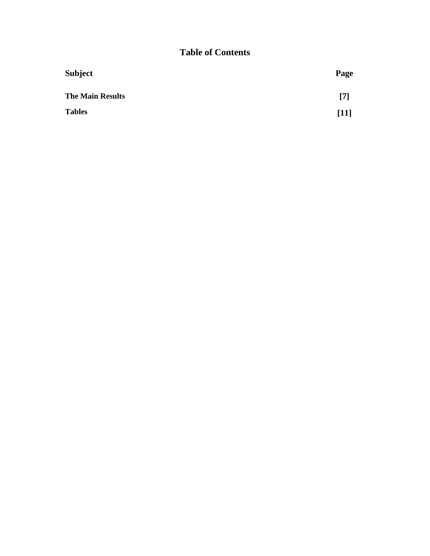## **Table of Contents**

| <b>Subject</b>          | Page   |
|-------------------------|--------|
| <b>The Main Results</b> | [7]    |
| <b>Tables</b>           | $[11]$ |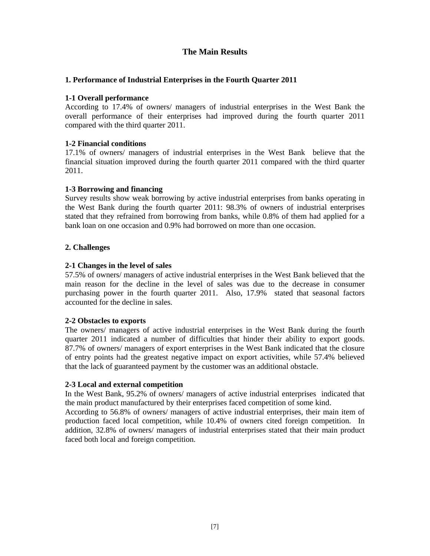## **The Main Results**

### **1. Performance of Industrial Enterprises in the Fourth Quarter 2011**

#### **1-1 Overall performance**

According to 17.4% of owners/ managers of industrial enterprises in the West Bank the overall performance of their enterprises had improved during the fourth quarter 2011 compared with the third quarter 2011.

### **1-2 Financial conditions**

17.1% of owners/ managers of industrial enterprises in the West Bank believe that the financial situation improved during the fourth quarter 2011 compared with the third quarter 2011.

### **1-3 Borrowing and financing**

Survey results show weak borrowing by active industrial enterprises from banks operating in the West Bank during the fourth quarter 2011: 98.3% of owners of industrial enterprises stated that they refrained from borrowing from banks, while 0.8% of them had applied for a bank loan on one occasion and 0.9% had borrowed on more than one occasion.

### **2. Challenges**

### **2-1 Changes in the level of sales**

57.5% of owners/ managers of active industrial enterprises in the West Bank believed that the main reason for the decline in the level of sales was due to the decrease in consumer purchasing power in the fourth quarter 2011. Also, 17.9% stated that seasonal factors accounted for the decline in sales.

#### **2-2 Obstacles to exports**

The owners/ managers of active industrial enterprises in the West Bank during the fourth quarter 2011 indicated a number of difficulties that hinder their ability to export goods. 87.7% of owners/ managers of export enterprises in the West Bank indicated that the closure of entry points had the greatest negative impact on export activities, while 57.4% believed that the lack of guaranteed payment by the customer was an additional obstacle.

#### **2-3 Local and external competition**

In the West Bank, 95.2% of owners/ managers of active industrial enterprises indicated that the main product manufactured by their enterprises faced competition of some kind.

According to 56.8% of owners/ managers of active industrial enterprises, their main item of production faced local competition, while 10.4% of owners cited foreign competition. In addition, 32.8% of owners/ managers of industrial enterprises stated that their main product faced both local and foreign competition.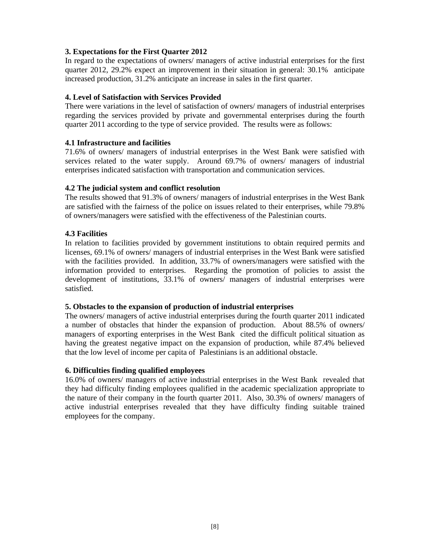#### **3. Expectations for the First Quarter 2012**

In regard to the expectations of owners/ managers of active industrial enterprises for the first quarter 2012, 29.2% expect an improvement in their situation in general: 30.1% anticipate increased production, 31.2% anticipate an increase in sales in the first quarter.

### **4. Level of Satisfaction with Services Provided**

There were variations in the level of satisfaction of owners/ managers of industrial enterprises regarding the services provided by private and governmental enterprises during the fourth quarter 2011 according to the type of service provided. The results were as follows:

### **4.1 Infrastructure and facilities**

71.6% of owners/ managers of industrial enterprises in the West Bank were satisfied with services related to the water supply. Around 69.7% of owners/ managers of industrial enterprises indicated satisfaction with transportation and communication services.

### **4.2 The judicial system and conflict resolution**

The results showed that 91.3% of owners/ managers of industrial enterprises in the West Bank are satisfied with the fairness of the police on issues related to their enterprises, while 79.8% of owners/managers were satisfied with the effectiveness of the Palestinian courts.

### **4.3 Facilities**

In relation to facilities provided by government institutions to obtain required permits and licenses, 69.1% of owners/ managers of industrial enterprises in the West Bank were satisfied with the facilities provided. In addition, 33.7% of owners/managers were satisfied with the information provided to enterprises. Regarding the promotion of policies to assist the development of institutions, 33.1% of owners/ managers of industrial enterprises were satisfied.

#### **5. Obstacles to the expansion of production of industrial enterprises**

The owners/ managers of active industrial enterprises during the fourth quarter 2011 indicated a number of obstacles that hinder the expansion of production. About 88.5% of owners/ managers of exporting enterprises in the West Bank cited the difficult political situation as having the greatest negative impact on the expansion of production, while 87.4% believed that the low level of income per capita of Palestinians is an additional obstacle.

#### **6. Difficulties finding qualified employees**

16.0% of owners/ managers of active industrial enterprises in the West Bank revealed that they had difficulty finding employees qualified in the academic specialization appropriate to the nature of their company in the fourth quarter 2011. Also, 30.3% of owners/ managers of active industrial enterprises revealed that they have difficulty finding suitable trained employees for the company.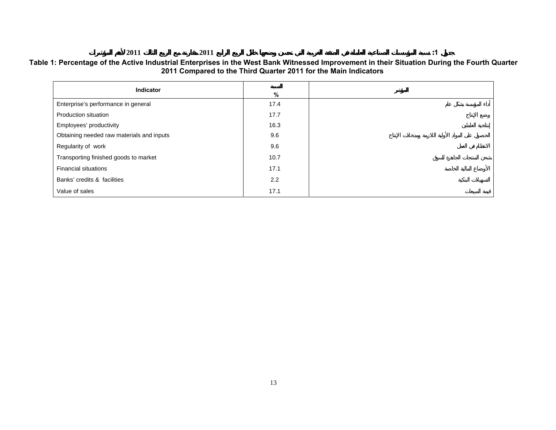#### **20112011 :1**

 $:1$ 

#### **Table 1: Percentage of the Active Industrial Enterprises in the West Bank Witnessed Improvement in their Situation During the Fourth Quarter 2011 Compared to the Third Quarter 2011 for the Main Indicators**

| <b>Indicator</b>                          | %    |  |
|-------------------------------------------|------|--|
| Enterprise's performance in general       | 17.4 |  |
| Production situation                      | 17.7 |  |
| Employees' productivity                   | 16.3 |  |
| Obtaining needed raw materials and inputs | 9.6  |  |
| Regularity of work                        | 9.6  |  |
| Transporting finished goods to market     | 10.7 |  |
| <b>Financial situations</b>               | 17.1 |  |
| Banks' credits & facilities               | 2.2  |  |
| Value of sales                            | 17.1 |  |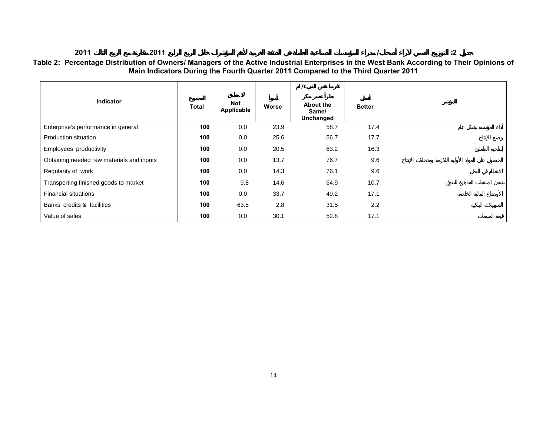#### **2011 2011 / :2 Table 2: Percentage Distribution of Owners/ Managers of the Active Industrial Enterprises in the West Bank According to Their Opinions of Main Indicators During the Fourth Quarter 2011 Compared to the Third Quarter 2011**

| <b>Indicator</b>                          | <b>Total</b> | Not<br>Applicable | Worse | About the<br>Same/<br>Unchanged | <b>Better</b> |
|-------------------------------------------|--------------|-------------------|-------|---------------------------------|---------------|
| Enterprise's performance in general       | 100          | 0.0               | 23.9  | 58.7                            | 17.4          |
| Production situation                      | 100          | 0.0               | 25.6  | 56.7                            | 17.7          |
| Employees' productivity                   | 100          | 0.0               | 20.5  | 63.2                            | 16.3          |
| Obtaining needed raw materials and inputs | 100          | 0.0               | 13.7  | 76.7                            | 9.6           |
| Regularity of work                        | 100          | 0.0               | 14.3  | 76.1                            | 9.6           |
| Transporting finished goods to market     | 100          | 9.8               | 14.6  | 64.9                            | 10.7          |
| <b>Financial situations</b>               | 100          | 0.0               | 33.7  | 49.2                            | 17.1          |
| Banks' credits & facilities               | 100          | 63.5              | 2.8   | 31.5                            | 2.2           |
| Value of sales                            | 100          | 0.0               | 30.1  | 52.8                            | 17.1          |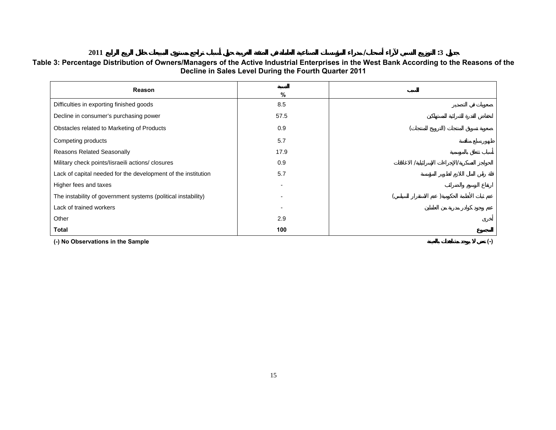**2011 / :3**

| Reason                                                        | $\%$ |           |
|---------------------------------------------------------------|------|-----------|
| Difficulties in exporting finished goods                      | 8.5  |           |
| Decline in consumer's purchasing power                        | 57.5 |           |
| Obstacles related to Marketing of Products                    | 0.9  |           |
| Competing products                                            | 5.7  |           |
| <b>Reasons Related Seasonally</b>                             | 17.9 |           |
| Military check points/lisraeili actions/ closures             | 0.9  |           |
| Lack of capital needed for the development of the institution | 5.7  |           |
| Higher fees and taxes                                         |      |           |
| The instability of government systems (political instability) |      |           |
| Lack of trained workers                                       |      |           |
| Other                                                         | 2.9  |           |
| Total                                                         | 100  |           |
| (-) No Observations in the Sample                             |      | $(\cdot)$ |

**Table 3: Percentage Distribution of Owners/Managers of the Active Industrial Enterprises in the West Bank According to the Reasons of the Decline in Sales Level During the Fourth Quarter 2011** 

 $:3$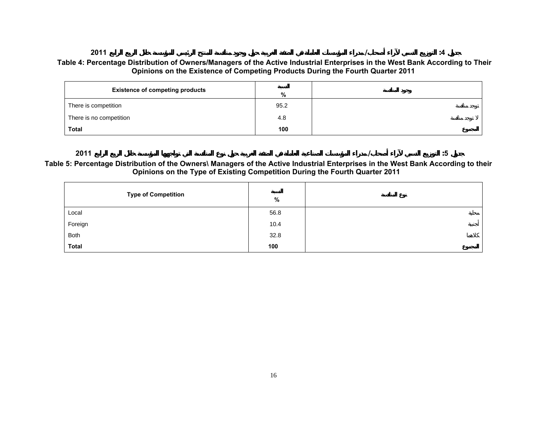#### **2011 / :4 Table 4: Percentage Distribution of Owners/Managers of the Active Industrial Enterprises in the West Bank According to Their Opinions on the Existence of Competing Products During the Fourth Quarter 2011**

| <b>Existence of competing products</b> | %    |  |
|----------------------------------------|------|--|
| There is competition                   | 95.2 |  |
| There is no competition                | 4.8  |  |
| <b>Total</b>                           | 100  |  |

**2011 / :5** $:5$  **Table 5: Percentage Distribution of the Owners\ Managers of the Active Industrial Enterprises in the West Bank According to their Opinions on the Type of Existing Competition During the Fourth Quarter 2011** 

| <b>Type of Competition</b> | %    |  |
|----------------------------|------|--|
| Local                      | 56.8 |  |
| Foreign                    | 10.4 |  |
| Both                       | 32.8 |  |
| <b>Total</b>               | 100  |  |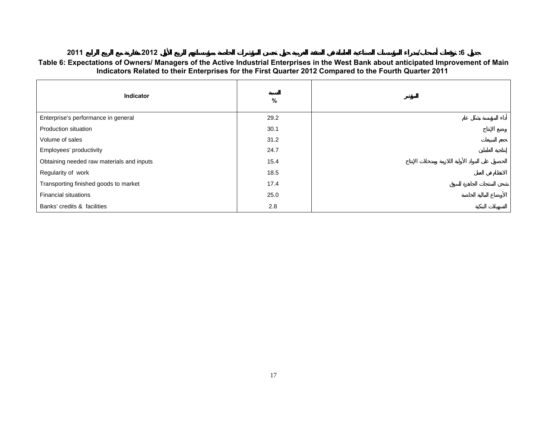#### **20112012 / :6**

#### **Table 6: Expectations of Owners/ Managers of the Active Industrial Enterprises in the West Bank about anticipated Improvement of Main Indicators Related to their Enterprises for the First Quarter 2012 Compared to the Fourth Quarter 2011**

| Indicator                                 | %    |  |
|-------------------------------------------|------|--|
| Enterprise's performance in general       | 29.2 |  |
| Production situation                      | 30.1 |  |
| Volume of sales                           | 31.2 |  |
| Employees' productivity                   | 24.7 |  |
| Obtaining needed raw materials and inputs | 15.4 |  |
| Regularity of work                        | 18.5 |  |
| Transporting finished goods to market     | 17.4 |  |
| <b>Financial situations</b>               | 25.0 |  |
| Banks' credits & facilities               | 2.8  |  |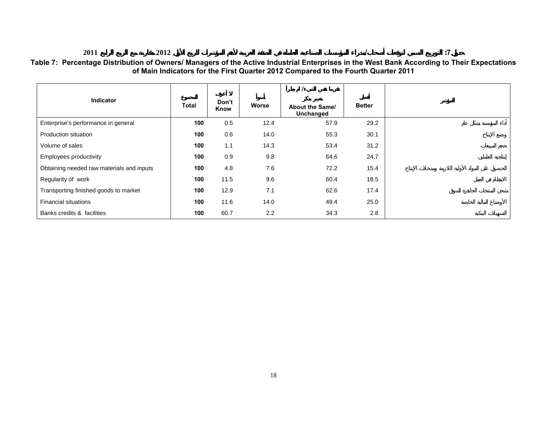#### **2011 2012 / :7** $:7$ **Table 7: Percentage Distribution of Owners/ Managers of the Active Industrial Enterprises in the West Bank According to Their Expectations of Main Indicators for the First Quarter 2012 Compared to the Fourth Quarter 2011**

| <b>Indicator</b>                          | <b>Total</b> | Don't<br>Know | Worse | <b>About the Same/</b><br>Unchanged | <b>Better</b> |
|-------------------------------------------|--------------|---------------|-------|-------------------------------------|---------------|
| Enterprise's performance in general       | 100          | 0.5           | 12.4  | 57.9                                | 29.2          |
| Production situation                      | 100          | 0.6           | 14.0  | 55.3                                | 30.1          |
| Volume of sales                           | 100          | 1.1           | 14.3  | 53.4                                | 31.2          |
| Employees productivity                    | 100          | 0.9           | 9.8   | 64.6                                | 24.7          |
| Obtaining needed raw materials and inputs | 100          | 4.8           | 7.6   | 72.2                                | 15.4          |
| Regularity of work                        | 100          | 11.5          | 9.6   | 60.4                                | 18.5          |
| Transporting finished goods to market     | 100          | 12.9          | 7.1   | 62.6                                | 17.4          |
| <b>Financial situations</b>               | 100          | 11.6          | 14.0  | 49.4                                | 25.0          |
| Banks credits & facilities                | 100          | 60.7          | 2.2   | 34.3                                | 2.8           |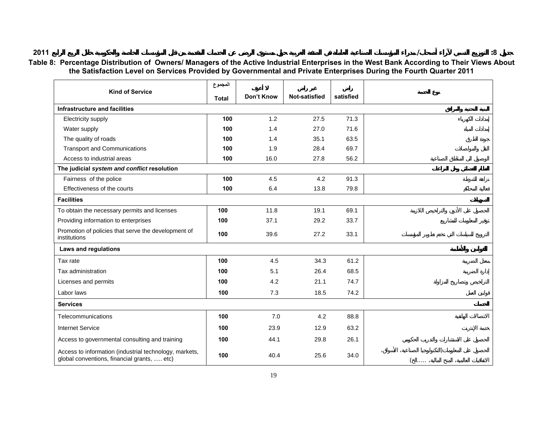## **2011**

### **Table 8: Percentage Distribution of Owners/ Managers of the Active Industrial Enterprises in the West Bank According to Their Views About the Satisfaction Level on Services Provided by Governmental and Private Enterprises During the Fourth Quarter 2011**

|                                                                                                       | المجموع      |            |                      |           |          |  |
|-------------------------------------------------------------------------------------------------------|--------------|------------|----------------------|-----------|----------|--|
| <b>Kind of Service</b>                                                                                | <b>Total</b> | Don't Know | <b>Not-satisfied</b> | satisfied |          |  |
| Infrastructure and facilities                                                                         |              |            |                      |           |          |  |
| Electricity supply                                                                                    | 100          | 1.2        | 27.5                 | 71.3      |          |  |
| Water supply                                                                                          | 100          | 1.4        | 27.0                 | 71.6      |          |  |
| The quality of roads                                                                                  | 100          | 1.4        | 35.1                 | 63.5      |          |  |
| <b>Transport and Communications</b>                                                                   | 100          | 1.9        | 28.4                 | 69.7      |          |  |
| Access to industrial areas                                                                            | 100          | 16.0       | 27.8                 | 56.2      |          |  |
| The judicial system and conflict resolution                                                           |              |            |                      |           |          |  |
| Fairness of the police                                                                                | 100          | 4.5        | 4.2                  | 91.3      |          |  |
| Effectiveness of the courts                                                                           | 100          | 6.4        | 13.8                 | 79.8      |          |  |
| <b>Facilities</b>                                                                                     |              |            |                      |           |          |  |
| To obtain the necessary permits and licenses                                                          | 100          | 11.8       | 19.1                 | 69.1      |          |  |
| Providing information to enterprises                                                                  | 100          | 37.1       | 29.2                 | 33.7      |          |  |
| Promotion of policies that serve the development of<br>institutions                                   | 100          | 39.6       | 27.2                 | 33.1      |          |  |
| Laws and regulations                                                                                  |              |            |                      |           |          |  |
| Tax rate                                                                                              | 100          | 4.5        | 34.3                 | 61.2      |          |  |
| Tax administration                                                                                    | 100          | 5.1        | 26.4                 | 68.5      |          |  |
| Licenses and permits                                                                                  | 100          | 4.2        | 21.1                 | 74.7      |          |  |
| Labor laws                                                                                            | 100          | 7.3        | 18.5                 | 74.2      |          |  |
| <b>Services</b>                                                                                       |              |            |                      |           |          |  |
| Telecommunications                                                                                    | 100          | 7.0        | 4.2                  | 88.8      |          |  |
| <b>Internet Service</b>                                                                               | 100          | 23.9       | 12.9                 | 63.2      |          |  |
| Access to governmental consulting and training                                                        | 100          | 44.1       | 29.8                 | 26.1      |          |  |
| Access to information (industrial technology, markets,<br>global conventions, financial grants,  etc) | 100          | 40.4       | 25.6                 | 34.0      | $\cdots$ |  |

**/ :8**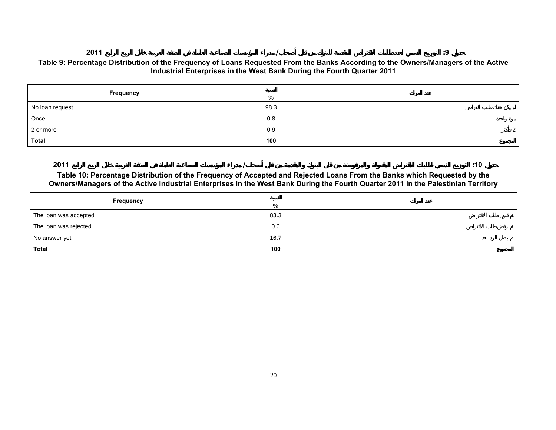#### **2011 / :9Table 9: Percentage Distribution of the Frequency of Loans Requested From the Banks According to the Owners/Managers of the Active Industrial Enterprises in the West Bank During the Fourth Quarter 2011**

| Frequency       | %    |                |
|-----------------|------|----------------|
| No loan request | 98.3 |                |
| Once            | 0.8  |                |
| 2 or more       | 0.9  | 2 <sub>1</sub> |
| <b>Total</b>    | 100  |                |

**2011 / :10Table 10: Percentage Distribution of the Frequency of Accepted and Rejected Loans From the Banks which Requested by the Owners/Managers of the Active Industrial Enterprises in the West Bank During the Fourth Quarter 2011 in the Palestinian Territory** 

| Frequency             | %    |  |
|-----------------------|------|--|
| The loan was accepted | 83.3 |  |
| The loan was rejected | 0.0  |  |
| No answer yet         | 16.7 |  |
| <b>Total</b>          | 100  |  |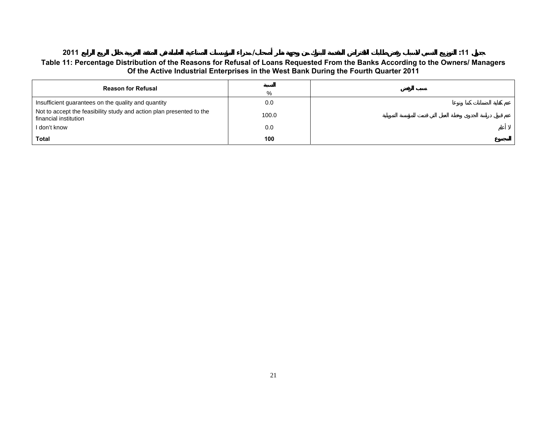#### **2011 / :11** $:11$ **Table 11: Percentage Distribution of the Reasons for Refusal of Loans Requested From the Banks According to the Owners/ Managers Of the Active Industrial Enterprises in the West Bank During the Fourth Quarter 2011**

| <b>Reason for Refusal</b>                                                                     | %     |  |
|-----------------------------------------------------------------------------------------------|-------|--|
| Insufficient guarantees on the quality and quantity                                           | 0.0   |  |
| Not to accept the feasibility study and action plan presented to the<br>financial institution | 100.0 |  |
| I don't know                                                                                  | 0.0   |  |
| <b>Total</b>                                                                                  | 100   |  |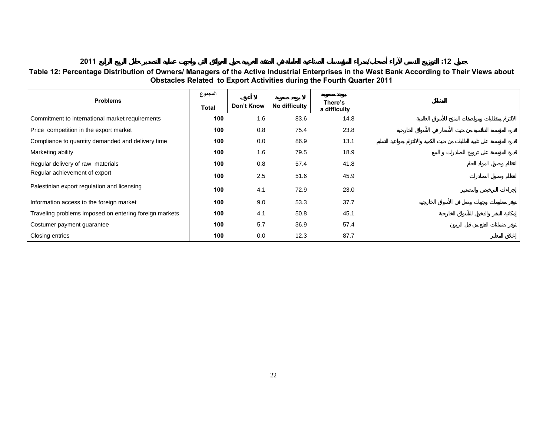**2011/ :12**

**Table 12: Percentage Distribution of Owners/ Managers of the Active Industrial Enterprises in the West Bank According to Their Views about Obstacles Related to Export Activities during the Fourth Quarter 2011** 

|                                                        | المجموع |            |               |                         |
|--------------------------------------------------------|---------|------------|---------------|-------------------------|
| <b>Problems</b>                                        | Total   | Don't Know | No difficulty | There's<br>a difficulty |
| Commitment to international market requirements        | 100     | 1.6        | 83.6          | 14.8                    |
| Price competition in the export market                 | 100     | 0.8        | 75.4          | 23.8                    |
| Compliance to quantity demanded and delivery time      | 100     | 0.0        | 86.9          | 13.1                    |
| Marketing ability                                      | 100     | 1.6        | 79.5          | 18.9                    |
| Regular delivery of raw materials                      | 100     | 0.8        | 57.4          | 41.8                    |
| Regular achievement of export                          | 100     | 2.5        | 51.6          | 45.9                    |
| Palestinian export regulation and licensing            | 100     | 4.1        | 72.9          | 23.0                    |
| Information access to the foreign market               | 100     | 9.0        | 53.3          | 37.7                    |
| Traveling problems imposed on entering foreign markets | 100     | 4.1        | 50.8          | 45.1                    |
| Costumer payment guarantee                             | 100     | 5.7        | 36.9          | 57.4                    |
| Closing entries                                        | 100     | 0.0        | 12.3          | 87.7                    |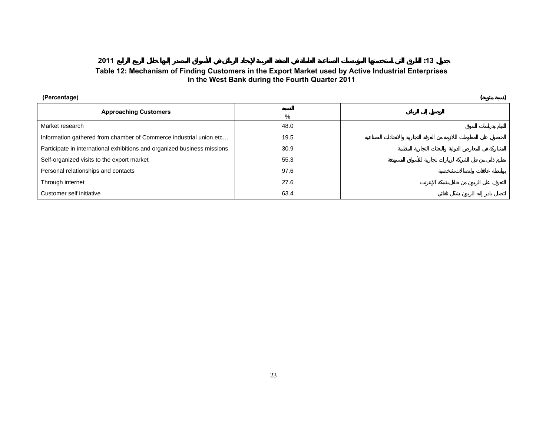### **Table 12: Mechanism of Finding Customers in the Export Market used by Active Industrial Enterprises in the West Bank during the Fourth Quarter 2011**

 $:13$ 

| (Percentage)                                                             |      |  |  |  |
|--------------------------------------------------------------------------|------|--|--|--|
| <b>Approaching Customers</b>                                             | $\%$ |  |  |  |
| Market research                                                          | 48.0 |  |  |  |
| Information gathered from chamber of Commerce industrial union etc       | 19.5 |  |  |  |
| Participate in international exhibitions and organized business missions | 30.9 |  |  |  |
| Self-organized visits to the export market                               | 55.3 |  |  |  |
| Personal relationships and contacts                                      | 97.6 |  |  |  |
| Through internet                                                         | 27.6 |  |  |  |
| Customer self initiative                                                 | 63.4 |  |  |  |

**2011 :13**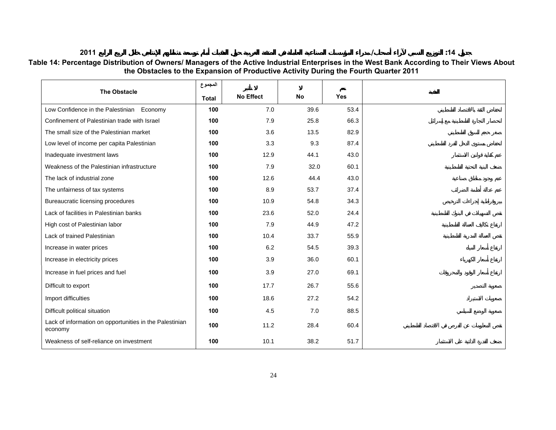#### **2011**

**/ :14**

|                                                                    | المجموع      |                  |           |            |
|--------------------------------------------------------------------|--------------|------------------|-----------|------------|
| <b>The Obstacle</b>                                                | <b>Total</b> | <b>No Effect</b> | <b>No</b> | <b>Yes</b> |
| Low Confidence in the Palestinian Economy                          | 100          | 7.0              | 39.6      | 53.4       |
| Confinement of Palestinian trade with Israel                       | 100          | 7.9              | 25.8      | 66.3       |
| The small size of the Palestinian market                           | 100          | 3.6              | 13.5      | 82.9       |
| Low level of income per capita Palestinian                         | 100          | 3.3              | 9.3       | 87.4       |
| Inadequate investment laws                                         | 100          | 12.9             | 44.1      | 43.0       |
| Weakness of the Palestinian infrastructure                         | 100          | 7.9              | 32.0      | 60.1       |
| The lack of industrial zone                                        | 100          | 12.6             | 44.4      | 43.0       |
| The unfairness of tax systems                                      | 100          | 8.9              | 53.7      | 37.4       |
| Bureaucratic licensing procedures                                  | 100          | 10.9             | 54.8      | 34.3       |
| Lack of facilities in Palestinian banks                            | 100          | 23.6             | 52.0      | 24.4       |
| High cost of Palestinian labor                                     | 100          | 7.9              | 44.9      | 47.2       |
| Lack of trained Palestinian                                        | 100          | 10.4             | 33.7      | 55.9       |
| Increase in water prices                                           | 100          | 6.2              | 54.5      | 39.3       |
| Increase in electricity prices                                     | 100          | 3.9              | 36.0      | 60.1       |
| Increase in fuel prices and fuel                                   | 100          | 3.9              | 27.0      | 69.1       |
| Difficult to export                                                | 100          | 17.7             | 26.7      | 55.6       |
| Import difficulties                                                | 100          | 18.6             | 27.2      | 54.2       |
| Difficult political situation                                      | 100          | 4.5              | 7.0       | 88.5       |
| Lack of information on opportunities in the Palestinian<br>economy | 100          | 11.2             | 28.4      | 60.4       |
| Weakness of self-reliance on investment                            | 100          | 10.1             | 38.2      | 51.7       |

**Table 14: Percentage Distribution of Owners/ Managers of the Active Industrial Enterprises in the West Bank According to Their Views About the Obstacles to the Expansion of Productive Activity During the Fourth Quarter 2011**